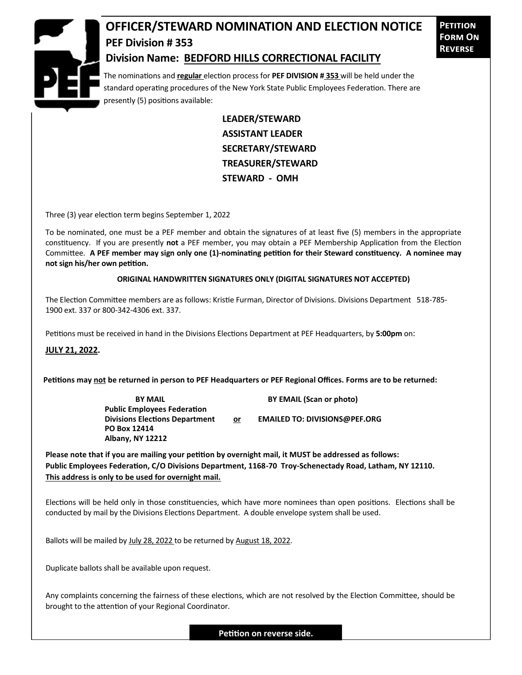

## **OFFICER/STEWARD NOMINATION AND ELECTION NOTICE PEF Division # 353 Division Name: BEDFORD HILLS CORRECTIONAL FACILITY**

**Petition Form On Reverse**

The nominations and **regular** election process for **PEF DIVISION # 353** will be held under the standard operating procedures of the New York State Public Employees Federation. There are presently (5) positions available:

> **LEADER/STEWARD ASSISTANT LEADER SECRETARY/STEWARD TREASURER/STEWARD STEWARD - OMH**

Three (3) year election term begins September 1, 2022

To be nominated, one must be a PEF member and obtain the signatures of at least five (5) members in the appropriate constituency. If you are presently **not** a PEF member, you may obtain a PEF Membership Application from the Election Committee. **A PEF member may sign only one (1)-nominating petition for their Steward constituency. A nominee may not sign his/her own petition.**

## **ORIGINAL HANDWRITTEN SIGNATURES ONLY (DIGITAL SIGNATURES NOT ACCEPTED)**

The Election Committee members are as follows: Kristie Furman, Director of Divisions. Divisions Department 518-785- 1900 ext. 337 or 800-342-4306 ext. 337.

Petitions must be received in hand in the Divisions Elections Department at PEF Headquarters, by **5:00pm** on:

**JULY 21, 2022.**

**Petitions may not be returned in person to PEF Headquarters or PEF Regional Offices. Forms are to be returned:**

**Public Employees Federation PO Box 12414 Albany, NY 12212**

**BY MAIL BY EMAIL (Scan or photo)** 

Divisions Elections Department or **EMAILED TO: DIVISIONS@PEF.ORG** 

**Please note that if you are mailing your petition by overnight mail, it MUST be addressed as follows: Public Employees Federation, C/O Divisions Department, 1168-70 Troy-Schenectady Road, Latham, NY 12110. This address is only to be used for overnight mail.**

Elections will be held only in those constituencies, which have more nominees than open positions. Elections shall be conducted by mail by the Divisions Elections Department. A double envelope system shall be used.

Ballots will be mailed by July 28, 2022 to be returned by August 18, 2022.

Duplicate ballots shall be available upon request.

Any complaints concerning the fairness of these elections, which are not resolved by the Election Committee, should be brought to the attention of your Regional Coordinator.

**Petition on reverse side.**